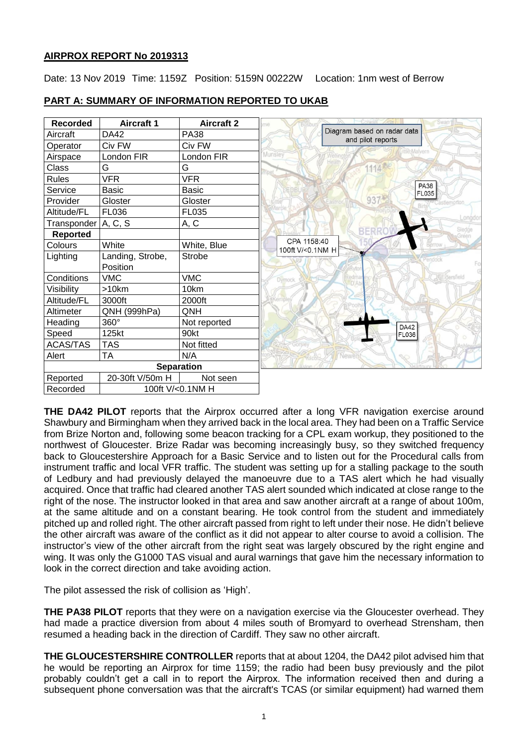## **AIRPROX REPORT No 2019313**

Date: 13 Nov 2019 Time: 1159Z Position: 5159N 00222W Location: 1nm west of Berrow

| <b>Recorded</b>     | <b>Aircraft 1</b> | <b>Aircraft 2</b> |
|---------------------|-------------------|-------------------|
| Aircraft            | DA42              | <b>PA38</b>       |
| Operator            | Civ FW            | Civ FW            |
| Airspace            | London FIR        | London FIR        |
| Class               | G                 | G                 |
| <b>Rules</b>        | <b>VFR</b>        | <b>VFR</b>        |
| Service             | <b>Basic</b>      | <b>Basic</b>      |
| Provider            | Gloster           | Gloster           |
| Altitude/FL         | FL036             | FL035             |
| Transponder A, C, S |                   | A, C              |
| Reported            |                   |                   |
| Colours             | White             | White, Blue       |
| Lighting            | Landing, Strobe,  | <b>Strobe</b>     |
|                     | Position          |                   |
| Conditions          | <b>VMC</b>        | <b>VMC</b>        |
| Visibility          | >10km             | 10km              |
| Altitude/FL         | 3000ft            | 2000ft            |
| Altimeter           | QNH (999hPa)      | QNH               |
| Heading             | 360°              | Not reported      |
| Speed               | 125kt             | 90kt              |
| <b>ACAS/TAS</b>     | <b>TAS</b>        | Not fitted        |
| Alert               | <b>TA</b>         | N/A               |
|                     |                   | <b>Separation</b> |
| Reported            | 20-30ft V/50m H   | Not seen          |
| Recorded            | 100ft V/<0.1NM H  |                   |

## **PART A: SUMMARY OF INFORMATION REPORTED TO UKAB**

**THE DA42 PILOT** reports that the Airprox occurred after a long VFR navigation exercise around Shawbury and Birmingham when they arrived back in the local area. They had been on a Traffic Service from Brize Norton and, following some beacon tracking for a CPL exam workup, they positioned to the northwest of Gloucester. Brize Radar was becoming increasingly busy, so they switched frequency back to Gloucestershire Approach for a Basic Service and to listen out for the Procedural calls from instrument traffic and local VFR traffic. The student was setting up for a stalling package to the south of Ledbury and had previously delayed the manoeuvre due to a TAS alert which he had visually acquired. Once that traffic had cleared another TAS alert sounded which indicated at close range to the right of the nose. The instructor looked in that area and saw another aircraft at a range of about 100m, at the same altitude and on a constant bearing. He took control from the student and immediately pitched up and rolled right. The other aircraft passed from right to left under their nose. He didn't believe the other aircraft was aware of the conflict as it did not appear to alter course to avoid a collision. The instructor's view of the other aircraft from the right seat was largely obscured by the right engine and wing. It was only the G1000 TAS visual and aural warnings that gave him the necessary information to look in the correct direction and take avoiding action.

The pilot assessed the risk of collision as 'High'.

**THE PA38 PILOT** reports that they were on a navigation exercise via the Gloucester overhead. They had made a practice diversion from about 4 miles south of Bromyard to overhead Strensham, then resumed a heading back in the direction of Cardiff. They saw no other aircraft.

**THE GLOUCESTERSHIRE CONTROLLER** reports that at about 1204, the DA42 pilot advised him that he would be reporting an Airprox for time 1159; the radio had been busy previously and the pilot probably couldn't get a call in to report the Airprox. The information received then and during a subsequent phone conversation was that the aircraft's TCAS (or similar equipment) had warned them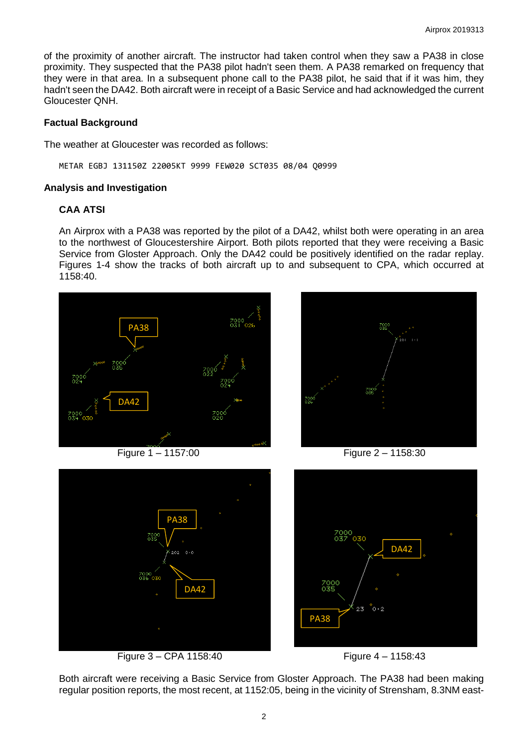of the proximity of another aircraft. The instructor had taken control when they saw a PA38 in close proximity. They suspected that the PA38 pilot hadn't seen them. A PA38 remarked on frequency that they were in that area. In a subsequent phone call to the PA38 pilot, he said that if it was him, they hadn't seen the DA42. Both aircraft were in receipt of a Basic Service and had acknowledged the current Gloucester QNH.

### **Factual Background**

The weather at Gloucester was recorded as follows:

METAR EGBJ 131150Z 22005KT 9999 FEW020 SCT035 08/04 Q0999

#### **Analysis and Investigation**

# **CAA ATSI**

An Airprox with a PA38 was reported by the pilot of a DA42, whilst both were operating in an area to the northwest of Gloucestershire Airport. Both pilots reported that they were receiving a Basic Service from Gloster Approach. Only the DA42 could be positively identified on the radar replay. Figures 1-4 show the tracks of both aircraft up to and subsequent to CPA, which occurred at 1158:40.





Figure 1 – 1157:00 Figure 2 – 1158:30



Figure 3 – CPA 1158:40 Figure 4 – 1158:43





Both aircraft were receiving a Basic Service from Gloster Approach. The PA38 had been making regular position reports, the most recent, at 1152:05, being in the vicinity of Strensham, 8.3NM east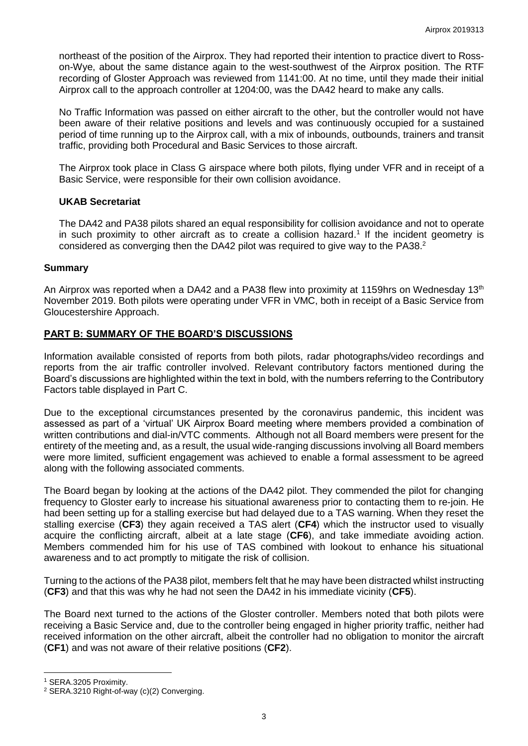northeast of the position of the Airprox. They had reported their intention to practice divert to Rosson-Wye, about the same distance again to the west-southwest of the Airprox position. The RTF recording of Gloster Approach was reviewed from 1141:00. At no time, until they made their initial Airprox call to the approach controller at 1204:00, was the DA42 heard to make any calls.

No Traffic Information was passed on either aircraft to the other, but the controller would not have been aware of their relative positions and levels and was continuously occupied for a sustained period of time running up to the Airprox call, with a mix of inbounds, outbounds, trainers and transit traffic, providing both Procedural and Basic Services to those aircraft.

The Airprox took place in Class G airspace where both pilots, flying under VFR and in receipt of a Basic Service, were responsible for their own collision avoidance.

## **UKAB Secretariat**

The DA42 and PA38 pilots shared an equal responsibility for collision avoidance and not to operate in such proximity to other aircraft as to create a collision hazard.<sup>1</sup> If the incident geometry is considered as converging then the DA42 pilot was required to give way to the PA38.<sup>2</sup>

### **Summary**

An Airprox was reported when a DA42 and a PA38 flew into proximity at 1159hrs on Wednesday 13<sup>th</sup> November 2019. Both pilots were operating under VFR in VMC, both in receipt of a Basic Service from Gloucestershire Approach.

## **PART B: SUMMARY OF THE BOARD'S DISCUSSIONS**

Information available consisted of reports from both pilots, radar photographs/video recordings and reports from the air traffic controller involved. Relevant contributory factors mentioned during the Board's discussions are highlighted within the text in bold, with the numbers referring to the Contributory Factors table displayed in Part C.

Due to the exceptional circumstances presented by the coronavirus pandemic, this incident was assessed as part of a 'virtual' UK Airprox Board meeting where members provided a combination of written contributions and dial-in/VTC comments. Although not all Board members were present for the entirety of the meeting and, as a result, the usual wide-ranging discussions involving all Board members were more limited, sufficient engagement was achieved to enable a formal assessment to be agreed along with the following associated comments.

The Board began by looking at the actions of the DA42 pilot. They commended the pilot for changing frequency to Gloster early to increase his situational awareness prior to contacting them to re-join. He had been setting up for a stalling exercise but had delayed due to a TAS warning. When they reset the stalling exercise (**CF3**) they again received a TAS alert (**CF4**) which the instructor used to visually acquire the conflicting aircraft, albeit at a late stage (**CF6**), and take immediate avoiding action. Members commended him for his use of TAS combined with lookout to enhance his situational awareness and to act promptly to mitigate the risk of collision.

Turning to the actions of the PA38 pilot, members felt that he may have been distracted whilst instructing (**CF3**) and that this was why he had not seen the DA42 in his immediate vicinity (**CF5**).

The Board next turned to the actions of the Gloster controller. Members noted that both pilots were receiving a Basic Service and, due to the controller being engaged in higher priority traffic, neither had received information on the other aircraft, albeit the controller had no obligation to monitor the aircraft (**CF1**) and was not aware of their relative positions (**CF2**).

 $\overline{a}$ 

<sup>1</sup> SERA.3205 Proximity.

<sup>2</sup> SERA.3210 Right-of-way (c)(2) Converging.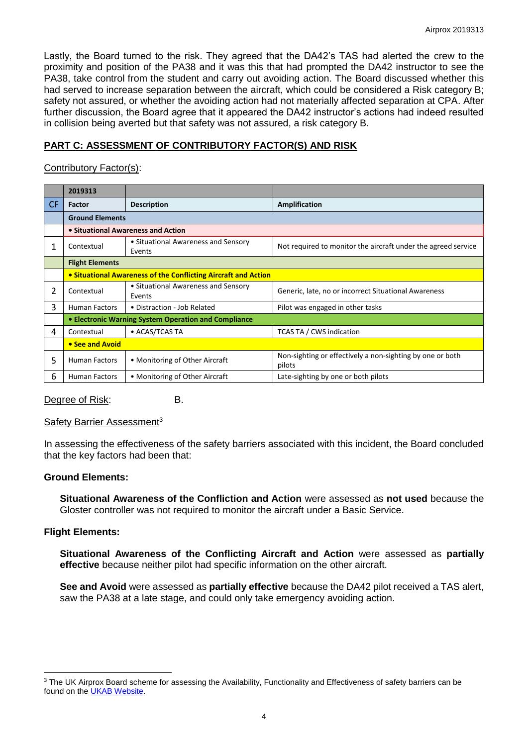Lastly, the Board turned to the risk. They agreed that the DA42's TAS had alerted the crew to the proximity and position of the PA38 and it was this that had prompted the DA42 instructor to see the PA38, take control from the student and carry out avoiding action. The Board discussed whether this had served to increase separation between the aircraft, which could be considered a Risk category B; safety not assured, or whether the avoiding action had not materially affected separation at CPA. After further discussion, the Board agree that it appeared the DA42 instructor's actions had indeed resulted in collision being averted but that safety was not assured, a risk category B.

## **PART C: ASSESSMENT OF CONTRIBUTORY FACTOR(S) AND RISK**

### Contributory Factor(s):

|     | 2019313                                                        |                                               |                                                                     |  |  |  |
|-----|----------------------------------------------------------------|-----------------------------------------------|---------------------------------------------------------------------|--|--|--|
| CF. | Factor                                                         | <b>Description</b>                            | Amplification                                                       |  |  |  |
|     | <b>Ground Elements</b>                                         |                                               |                                                                     |  |  |  |
|     | • Situational Awareness and Action                             |                                               |                                                                     |  |  |  |
| 1   | Contextual                                                     | • Situational Awareness and Sensory<br>Events | Not required to monitor the aircraft under the agreed service       |  |  |  |
|     | <b>Flight Elements</b>                                         |                                               |                                                                     |  |  |  |
|     | • Situational Awareness of the Conflicting Aircraft and Action |                                               |                                                                     |  |  |  |
| 2   | Contextual                                                     | • Situational Awareness and Sensory<br>Events | Generic, late, no or incorrect Situational Awareness                |  |  |  |
| 3   | <b>Human Factors</b>                                           | • Distraction - Job Related                   | Pilot was engaged in other tasks                                    |  |  |  |
|     | • Electronic Warning System Operation and Compliance           |                                               |                                                                     |  |  |  |
| 4   | Contextual                                                     | • ACAS/TCAS TA                                | <b>TCAS TA / CWS indication</b>                                     |  |  |  |
|     | • See and Avoid                                                |                                               |                                                                     |  |  |  |
| 5   | <b>Human Factors</b>                                           | • Monitoring of Other Aircraft                | Non-sighting or effectively a non-sighting by one or both<br>pilots |  |  |  |
| 6   | <b>Human Factors</b>                                           | • Monitoring of Other Aircraft                | Late-sighting by one or both pilots                                 |  |  |  |

Degree of Risk: B.

#### Safety Barrier Assessment<sup>3</sup>

In assessing the effectiveness of the safety barriers associated with this incident, the Board concluded that the key factors had been that:

#### **Ground Elements:**

**Situational Awareness of the Confliction and Action** were assessed as **not used** because the Gloster controller was not required to monitor the aircraft under a Basic Service.

#### **Flight Elements:**

 $\overline{a}$ 

**Situational Awareness of the Conflicting Aircraft and Action** were assessed as **partially effective** because neither pilot had specific information on the other aircraft.

**See and Avoid** were assessed as **partially effective** because the DA42 pilot received a TAS alert, saw the PA38 at a late stage, and could only take emergency avoiding action.

<sup>&</sup>lt;sup>3</sup> The UK Airprox Board scheme for assessing the Availability, Functionality and Effectiveness of safety barriers can be found on the [UKAB Website.](http://www.airproxboard.org.uk/Learn-more/Airprox-Barrier-Assessment/)